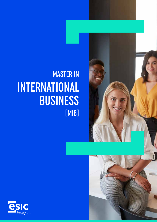# [MIB] MASTER IN INTERNATIONAL BUSINESS

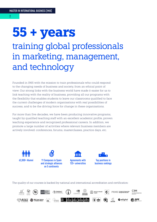# **55 + years**

# training global professionals in marketing, management, and technology

Founded in 1965 with the mission to train professionals who could respond to the changing needs of business and society, from an ethical point of view. Our strong links with the business world have made it easier for us to link teaching with the reality of business, providing all our programs with the flexibility that enables students to leave our classrooms qualified to face the current challenges of modern organisations with real possibilities of success, and to be the driving force for change in these organisations.

For more than five decades, we have been producing innovative programs, taught by qualified teaching staff with an excellent academic profile, proven teaching experience and recognised professional careers. In addition, we promote a large number of activities where relevant business members are actively involved: conferences, forums, masterclasses, practice days, etc.



and strategic alliances

on 5 continents



Agreements with 125+ universities



Top positions in business rankings

The quality of our courses is backed by national and international accreditation and certification:

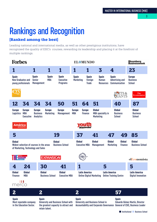# Rankings and Recognition

### **[Ranked among the best]**

Leading national and international media, as well as other prestigious institutions, have recognised the quality of ESIC's courses, rewarding its leadership and placing it at the forefront of multiple rankings.

| Forbes<br>EL⇔MUNDO                                                                       |                                               |                                   |                                                                                    |                                  |                                                         |                             |                                                |                                                                | Bloomberg<br>Businessweek           |                                                                           |
|------------------------------------------------------------------------------------------|-----------------------------------------------|-----------------------------------|------------------------------------------------------------------------------------|----------------------------------|---------------------------------------------------------|-----------------------------|------------------------------------------------|----------------------------------------------------------------|-------------------------------------|---------------------------------------------------------------------------|
| 1                                                                                        | 1                                             | 1                                 | 1                                                                                  | 1                                | 1                                                       |                             | $\overline{\mathbf{3}}$                        | 4                                                              |                                     | 23                                                                        |
| <b>Spain</b><br><b>New Graduates and</b><br>young profesionals                           | <b>Spain</b><br>Senior<br><b>Management</b>   | <b>Spain</b><br><b>MBA</b>        | <b>Spain</b><br><b>Executive</b><br><b>Programs</b>                                | <b>Spain</b><br><b>Marketing</b> | <b>Spain</b><br><b>Foreign</b><br><b>Trade</b>          |                             | <b>Spain</b><br>Human<br><b>Resources</b>      | <b>Spain</b><br><b>Advertising and</b><br><b>Communication</b> |                                     | <b>Europe</b><br><b>Business</b><br><b>School</b>                         |
|                                                                                          |                                               |                                   |                                                                                    |                                  |                                                         |                             |                                                |                                                                | <b>POETS &amp;</b><br><b>JUANTS</b> | The<br>Economist                                                          |
| 12<br>34                                                                                 | 34                                            | 34                                | 50                                                                                 | 51                               | 64                                                      | 51                          |                                                | 40                                                             |                                     | 87                                                                        |
| <b>Europe</b><br><b>Europe</b><br>Logistics<br><b>MBA</b><br><b>Executive</b>            | <b>Europe</b><br><b>Business</b><br>Analytics | <b>Europe</b><br><b>Marketing</b> | <b>Europe</b><br><b>Management</b>                                                 | <b>Europe</b><br><b>MBA</b>      | <b>Europe</b><br><b>Finance</b>                         | Global<br><b>Marketing</b>  | <b>MBA</b> speciality in                       | Global<br><b>School</b>                                        | <b>Business</b>                     | Global<br><b>Business</b><br><b>School</b>                                |
| <b>América</b><br>economía                                                               |                                               |                                   |                                                                                    |                                  | ncorporated                                             |                             |                                                |                                                                |                                     |                                                                           |
| 5                                                                                        |                                               | 19                                |                                                                                    | 37                               |                                                         | 41                          |                                                | 47                                                             | 49                                  | 85                                                                        |
| Global<br>Widest selection of courses in the areas<br>of Marketing, Technology and Sales |                                               | Global                            | <b>Business School</b>                                                             | Global                           | <b>Executive MBA</b>                                    | Global<br><b>Management</b> |                                                | Global<br><b>Marketing</b>                                     | Global<br><b>Finance</b>            | Global<br><b>Business School</b>                                          |
| <b>UNIVERSITY</b>                                                                        |                                               | <b>EXPANSION</b>                  |                                                                                    |                                  | FSO                                                     |                             |                                                |                                                                |                                     | elEconomista                                                              |
| 24<br>4                                                                                  | 30                                            |                                   | 41                                                                                 | 1                                |                                                         |                             | 5                                              |                                                                |                                     | 5                                                                         |
| Global<br>Global<br><b>MBA</b><br><b>Finance</b>                                         | Global                                        | <b>Business School</b>            | Global<br><b>Executive MBA</b>                                                     |                                  | <b>Latin America</b><br><b>Online Digital Marketing</b> |                             | <b>Latin America</b>                           | <b>Online Training Centre</b>                                  |                                     | <b>Latin America</b><br><b>Digital Innovation</b>                         |
| Ш<br>merco                                                                               |                                               |                                   |                                                                                    |                                  |                                                         |                             |                                                |                                                                |                                     |                                                                           |
| 2                                                                                        | $\mathbf 2$                                   |                                   |                                                                                    | $\mathbf 2$                      |                                                         |                             |                                                |                                                                | 57                                  |                                                                           |
| <b>Spain</b><br>Most reputable company<br>in the Education Sector.                       | <b>Spain</b>                                  | retain talent.                    | <b>University and Business School with</b><br>the greatest capacity to attract and | <b>Spain</b>                     | <b>University and Business School in</b>                |                             | <b>Accountability and Corporate Governance</b> | <b>Spain</b>                                                   |                                     | Eduardo Gómez Martín, Director<br><b>General of ESIC, Business Leader</b> |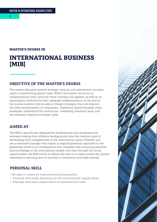#### **MASTER'S DEGREE IN**

### **INTERNATIONAL BUSINESS [MIB]**

#### **OBJECTIVE OF THE MASTER'S DEGREE**

The master discusses several strategic, tactical, and operational concepts used in streamlining global trade. Within the master, we focus on understanding when and how these concepts are applied, as well as on optimization methods for their adequate implementation. At the end of the course students will be able to: Design strategies that will improve the internationalization of companies, implement logistics/supply chain strategies, understand the contractual, marketing, financial, legal, and documentary aspects of foreign trade.

#### **AIMED AT**

The MIB is specifically designed for professionals and graduates that, whereas coming from different backgrounds have the common goal of developing their competencies in the international arena. Whether you are a seasoned manager who wants to expand personal capacities in the globalized world or an entrepreneur that considers that acquiring expertise and knowledge in the international market will clear the path for future opportunities, the MIB strives to deliver the best in its class content for anyone interested in learning how to succeed in commerce and trade abroad.

#### **PERSONAL SKILL**

- > Be able to create an international business plan.
- > Evaluate and make decisions on the international supply chain.
- > Manage and lead a department of international trade.

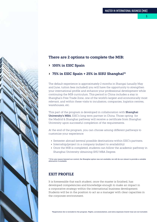#### **There are 2 options to complete the MIB:**

#### **100% in ESIC Spain ›**

#### **75% in ESIC Spain + 25% in SISU Shanghai(1) ›**

The default experience is approximately 2 months in Shangai (usually May and June, tuition fees included) you will have the opportunity to strengthen your international profile and enhance your professional development while continuing the MIB curriculum. This period in China includes a stay in Shanghai's Free Trade Zone, one of the world's largest and economically most relevant, and within these visits to incubators, companies, logistics centres, warehouses, etc.

This part of the program is developed in collaboration with **Shanghai** University's MBA, ESIC's long term partner in China. Those opting for the Madrid & Shanghai pathway will receive a certificate from Shanghai University upon successful completion of the requirements.

At the end of the program, you can choose among different pathways to customize your experience:

- **›** Semester abroad (several possible destinations within ESIC's partners.
- **›** Internship/project in a company (subject to availability)
- **›** Once the MIB is completed, students can follow the academic pathway in Shanghai University obtaining SHU MBA Degree.

(1) If for any reason beyond our control, the Shanghai option was not available, we will do our utmost to provide a suitable alternative if available.

#### **EXIT PROFILE**

It is foreseeable that each student, once the master is finished, has developed competencies and knowledge enough to make an impact in a corporative strategy within the international business development. Students will be in the position to act as a manager with clear capacities in the corporate environment.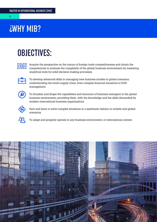# ¿WHY MIB?

# OBJECTIVES:



Acquire the perspective on the nature of foreign trade competitiveness and obtain the competencies to evaluate the complexity of the global business environment by mastering analytical tools for solid decision-making processes.



To develop advanced skills in managing new business models in global scenarios, understanding the entire supply chain, from complex financial situations to SCM management.



To broaden and shape the capabilities and resources of business managers in the global business environment, providing them with the knowledge and the skills demanded by modern international business organizations.



Face and learn to solve complex situations in a systematic fashion in volatile and global scenarios.



To adapt and properly operate in any business environment, or international context.

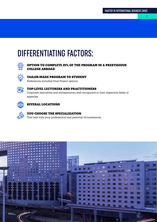# DIFFERENTIATING FACTORS:



#### OPTION TO COMPLETE 25% OF THE PROGRAM IN A PRESTIGIOUS COLLEGE ABROAD



#### TAILOR-MADE PROGRAM TO STUDENT

Preferences included Final Project options.



#### TOP-LEVEL LECTURERS AND PRACTITIONERS

Corporate executives and entrepreneurs well recognized in their respective fields of expertise.



#### SEVERAL LOCATIONS

#### YOU CHOOSE THE SPECIALIZATION

That best suits your professional and personal circumstances.

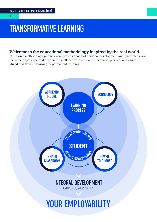# TRANSFORMATIVE LEARNING

#### **Welcome to the educational methodology inspired by the real world.**

ESIC's own methodology pursues your professional and personal development and guarantees you the same experience and academic excellence within a double scenario, physical and digital. Mixed and flexible learning in permanent training.

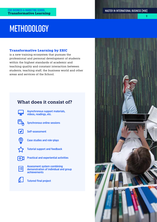# **METHODOLOGY**

#### **Transformative Learning by ESIC**

is a new training ecosystem that pursues the professional and personal development of students within the highest standards of academic and teaching quality and constant interaction between students, teaching staff, the business world and other areas and services of the School.

### **What does it consist of?**

Asynchronous support materials, videos, readings, etc.

扔

Synchronous online sessions



Self-assessment



Case studies and role-plays



Tutorial support and feedback



Practical and experiential activities



Assessment system combining demonstration of individual and group achievements



Tutored final project

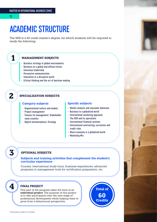# ACADEMIC STRUCTURE

The MIB is a 60 credit master's degree, for which students will be required to study the following:

### **1 MANAGEMENT SUBJECTS**

- Business strategy in global environments
- Business as a global and ethical citizen
- Conscious leadership
- Persuasive communication
- Innovation in a disruptive world
- Critical thinking and the art of decision-making

### **2 SPECIALIZATION SUBJECTS**

#### **Category subjects**

- Organisational culture and models
- Project management
- Finance for management: Stakeholder value creation
- Digital metamorphosis: Strategy

#### **Specific subjects**

- Market analysis and consumer behaviour
- Business in a globalized world
- International marketing approach
- The SCM and its operations
- International financial systems
- International contracting, currencies and credit risks
- Macro economy in a globalized world
- Marketing Mix

#### **3 OPTIONAL SUBJECTS**

#### **Subjects and training activities that complement the student's curricular experience:**

Courses, international study tours, business experiences, advanced programs in management tools for certification preparation, etc.

#### **4 FINAL PROJECT**

This part of the program takes the form of an **individual project**. The purpose of this project is to take participants onto the next stage of professional development while helping them to grow from a behavioural perspective.

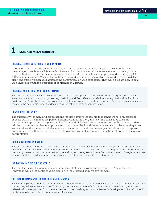### **1 MANAGEMENT SUBJECTS**

#### BUSINESS STRATEGY IN GLOBAL ENVIRONMENTS

Current organizations and environments require an adaptative leadership not just in the external facts but in the managers' profile as well. Within this framework communication abilities are more and more important in globalized and multicultural environments. Students will learn their leadership style and how to apply it in different circumstances. They will learn how to use and apply fundamental structures and elements to deliver clear and attractive messages approaching communication with confidence. They will also learn how to deal with uncertain situations, questions or confrontational issues.

#### BUSINESS AS A GLOBAL AND ETHICAL CITIZEN

The aim of this subject is for the student to acquire the competencies and knowledge taking the decisions in an ethical way, with social corporate responsibility and the different stakeholders in a global and multicultural environment. Apply high standards of respect for human values and cultural diversity. Develop competencies to measure the economic impact of decisions when taken or even when not taken.

#### CONSCIOUS LEADERSHIP

The current environment and organizations require adaptive leadership that considers not only external aspects but also the manager's personal profile. Communication, and listening skills (feedback) are increasingly important in the plural, multicultural and globalized environments. During this course, students will learn to know their leadership style and how to exercise it in different environments. Likewise, they must know and use the fundamental elements and structures to build clear messages that allow them to approach communication with more confidence and know how to effectively manage situations of doubt, questions or confrontation.

#### PERSUASIVE COMMUNICATION

The current context modifies the way we communicate and interact, the diversity of people we address, as well as the means we use to transmit messages, share, influence and achieve our purpose, highlight the importance of becoming aware of our communication style and impact, being key to know the tools and methodologies that make us more flexible in order to adapt to any situation and interlocutors without losing impact.

#### INNOVATION IN A DISRUPTIVE WORLD

The unit focuses on the generation and improvement of business opportunities thinking "out of the box" Innovation will be the centre of value creation in the present disruptive environment.

#### CRITICAL THINKING AND THE ART OF DECISION-MAKING

This unit helps the student to differentiate the problems in order to identify decisions with major impact in business minimizing efforts, costs and time. This unit gives the tools to identify those problems differentiating the ones related to business/money from the ones related to personal/organizational issues. It develops technical abilities for decision making with limited or complex information.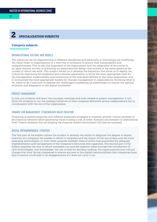### **2 SPECIALIZATION SUBJECTS**

#### **Category subjects**

#### ORGANIZATIONAL CULTURE AND MODELS

The advances we are experiencing in different disciplines and especially in technology are modifying the value chain in organizations in a way that is necessary to ensure their sustainability and competitiveness. This is why the alignment of the organization and the adaptation of structures in an agile manner are key to achieving an organizational design that evolves at the same speed as the context in which we work. This subject allows us to develop the behaviors that allow us to deploy the culture by improving the employee and customer experience, to know the most appropriate tools for the management, measurement and monitoring of the indicators defined in the value proposition, and to incorporate the most appropriate models for change management in organizations. Knowing what to do, when to do it and how to address the challenges considering all stakeholders to ensure the optimal evolution and adaptation to the digital ecosystem.

#### PROJECT MANAGEMENT

In this unit students will learn the concepts, methods and tools related to project management. It will drive the students to run the strategy initiatives of their company efficiently acting independently but in coordination with the rest of the organization.

#### FINANCE FOR MANAGEMENT: STAKEHOLDER VALUE CREATION

Financing of assets/companies and different investment strategies to maintain growth. Critical analyses of key financial elements either generating value or being a risk, at either domestic are domestic or international level. Fintech elements that are shaping the financial market environment will also be analysed.

#### DIGITAL METAMORPHOSIS: STRATEGY

The first part of the subject allows the student to develop the ability to diagnose the degree of digital maturity of a company, the market in which it competes and the impact of the use of data and the main emerging technologies, to, from there, propose strategic lines of action that guarantee the adequate implementation and management of the company's resources and capacities. The second part of the subject explores the way in which strategies can provide superior value through the introduction of new technologies, their knowledge, the use of data for decision-making, the organizational and cultural change that must facing companies to ensure success in this digital metamorphosis that companies must face to ensure could lead to its disappearance if it does not carry it out.

12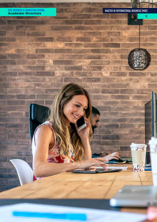ESIC BUSINESS & MARKETING SCHOOL MASTER IN INTERNATIONAL BUSINESS [MIB] **Académic Structure** 

13

 $\sqrt{1 + 1}$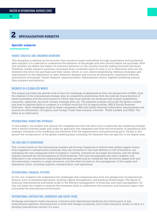### **2 SPECIALIZATION SUBJECTS**

#### **Specific subjects**

#### MARKET ANALYSIS AND CONSUMER BEHAVIOUR

This discipline is defined as the function that connects buyers and sellers through quantitative and qualitative data analysis. It is collected to understand the behavior of the people and their stimuli before the purchase. With this analysis, we define the impact of consumer behavior on the journey towards making business decisions. Therefore, market research analyzes consumers from a scientific point of view to try to determine what are the elements that drive the purchase and their needs, which, in turn, allows establishing retention strategies and improvement in the experience of users. Research designs and sources of information. Qualitative methods. quantitative techniques. Causal research: experimentation. Measurement theory. Applied marketing science: Data Analysis and statistics.

#### BUSINESS IN A GLOBALIZED WORLD

The subject provides the precise tools to face the challenge of globalization from the perspective of SMEs, from the creation of the international strategic plan to competitive positioning. Both the internal characteristics of small businesses and the environment in which they must operate are analyzed and studied: possibilities, resources, capacities, structure, threats, strategic plan, etc. The external analysis will study the global context and how to improve skills to compete in a volatile world but full of opportunities. SME & Family Business Overview. Main challenges faced by these companies. SME and Family Business information requirements and sources of information. Corruption and Foreign Trade. Risk analysis overview. World markets and SMEs. The Hubs as an alternative.

#### INTERNATIONAL MARKETING APPROACH

In this subject, the student will acquire the competencies that will allow him to elaborate the marketing strategy with a results-oriented target and under an approach that integrates and links the formulation of operational and strategic initiatives of the marketing mix elements with the segmentation and positioning parts. Finally, it will permit the configuration of the global marketing plan including the elements that are specific to the digital area.

#### THE SCM AND ITS OPERATIONS

The current events on the international markets are forcing companies to rethink their global supply chains, from suppliers to transportation methods, from the Incoterms to last-mile delivery in the eCommerce, are reshaping the way companies think its logistics. Customs, commercial and legal documents, and the global logistics network are the foundations of world business. This unit encompasses two main chapters, one dedicated to the commercial relationships between parties and its collaterals like Incoterms, paperwork and documentation, customs or cargo insurance, and the other focused on the management of the supply and operations chain, including logistics, transportation, and operations.

#### INTERNATIONAL FINANCIAL SYSTEMS

In this unit, students will understand the challenges that companies face from the perspective of international finance, such as business operations, working capital management, and banking relationships. The figure of financial intermediaries and banks is key to the efficient management of financials and cash management. All this will allow the student to acquire the necessary skills to understand the economic and financial aspect that surrounds the international environment.

#### INTERNATIONAL CONTRACTING, CURRENCIES AND CREDIT RISKS

Exchange and export credit insurance, contracts and international tendering are critical parts of any international operation. Knowing how to work with foreign currencies, how credit insurance works, or what is a binding international contract is a must.

14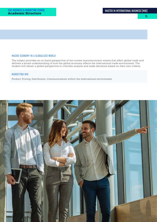#### MACRO ECONOMY IN A GLOBALIZED WORLD

The subject provides an on-hand perspective of the current macroeconomic events that affect global trade and delivers a broad understanding of how the global economy affects the international trade environment. The student will obtain a global perspective to critically analyze and make decisions based on their own criteria.

#### MARKETING MIX

Product, Pricing, Distribution, Communications within the international environment.

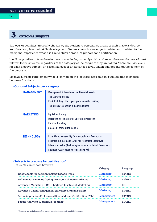### **3 OPTIONAL SUBJECTS**

Subjects or activities are freely chosen by the student to personalise a part of their master's degree and thus complete their skills development. Students can choose subjects related or unrelated to their discipline, experience what it is like to study abroad, or prepare for a certification.

It will be possible to take the elective courses in English or Spanish and select the ones that are of most interest to the students, regardless of the category of the program they are taking. There are two levels for each elective subject; an essential level or an advanced level, which will depend on the content of the program.

Elective subjects supplement what is learned on the courses: here students will be able to choose between 3 options:

#### **- Optional Subjects per category**

| <b>MANAGEMENT</b> | Management & Investment on financial assets<br>The Start Up journey<br>Re & Upskilling: boost your professional efficiency<br>The journey to develop a global business                                                                  |
|-------------------|-----------------------------------------------------------------------------------------------------------------------------------------------------------------------------------------------------------------------------------------|
| <b>MARKETING</b>  | <b>Digital Marketing</b><br><b>Marketing Automation for Operating Marketing</b><br><b>Purpose Branding</b><br>Sales 4.0: new digital models                                                                                             |
| <b>TECHNOLOGY</b> | Essential cybersecurity for non-technical Executives<br><b>Essential Big Data and IA for non-technical Executives</b><br>Internet of Value (Technologies for non-technical Executives)<br><b>Business 4.0: Process Automation (RPA)</b> |

#### **- Subjects to prepare for certification\***

Students can choose between:

|                                                                  | <b>Category</b>  | Language      |
|------------------------------------------------------------------|------------------|---------------|
| Google tools for decision making (Google Tools)                  | <b>Marketing</b> | ES/ENG        |
| Software for Smart Marketing (Hubspot Software Marketing)        | <b>Marketing</b> | <b>ES/ENG</b> |
| Advanced Marketing (CIM - Chartered Institute of Marketing)      | <b>Marketing</b> | <b>ENG</b>    |
| Advanced Client Management (Salesforce Administrator)            | Marketing        | ES/ENG        |
| Scrum in practice (Professional Scrum Master Certification -PSM) | Management       | <b>ES/ENG</b> |
| People Analytics (Certificate Program)                           | Management       | ES/ENG        |
|                                                                  |                  |               |

\*This does not include exam fees for any certification, or individual CIM tutoring.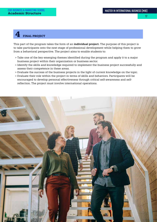### **4 FINAL PROJECT**

This part of the program takes the form of an **individual project.** The purpose of this project is to take participants onto the next stage of professional development while helping them to grow from a behavioral perspective. The project aims to enable students to:

- > Take one of the key emerging themes identified during the program and apply it to a major business project within their organization or business sector.
- > Identify the skills and knowledge required to implement the business project successfully and assess their competence in these areas.
- > Evaluate the success of the business projects in the light of current knowledge on the topic.
- > Evaluate their role within the project in terms of skills and behaviors. Participants will be encouraged to develop personal effectiveness through critical self-awareness and selfreflection. The project must involve international operations.

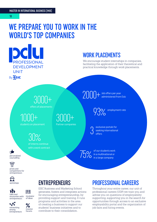# WE PREPARE YOU TO WORK IN THE WORLD'S TOP COMPANIES



# WORK PLACEMENTS

We encourage student internships in companies, facilitating the application of their theoretical and practical knowledge through work placements.

3000+ offers of placements

1000+ students on placement

> 30% of interns continue with a work contract

personalized counselling

ড়ি

prizes and competitions for entrepreneurs





among

೪೭

incubator of ideas talks and encounters with **entrepreneurs** 

7о networking investor entrepreneurs forums

IIIII

3000+ Partner companies

# $2000+$  Job offers per year<br>administered from

3

administered from Esic

employment rate

exclusive portals for seeking international offers

75% of our students work<br>The in a multinational or<br>in a large company in a multinational or in a large company

# ENTREPRENEURS

ESIC Business and Marketing School generates, fosters and integrates actions for encouraging entrepreneurship, by providing support and training. It runs programs and activities in the area of creating a business to support our students' business initiatives and to contribute to their consolidation.

# PROFESSIONAL CAREERS

Throughout your entire career, our unit of professional careers (UDP) we train you and advise you on questions of employability supporting, supporting you in the search for opportunities through access to an exclusive employability portal and the organization of job fairs and hiring events.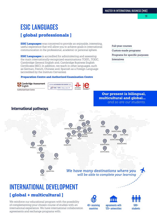# **[ global professionals ]** ESIC LANGUAGES

**ESIC Languages** was conceived to provide an enjoyable, interesting, useful experience that will allow you to achieve goals in international communication in the professional, academic or personal sphere.

**ESIC Languages** is accredited for administering and assessing the main internationally-recognized examinations: TOEFL, TOEIC, Cambridge General English and, Cambridge Business English Certificates (BEC). In addition, we teach in other languages, such as German, French, Chinese and, Spanish as a Foreign Language (accredited by the Instituto Cervantes).

#### **Preparation Centre and Authorized Examination Centre**

Full-year courses Custom-made programs Programs for specific purposes Intensives



### **[ global + multicultural ]**

We reinforce our educational program with the possibility of complementing your chosen course of studies with an international experience. We have international collaboration agreements and exchange programs with:

40+ receiving countries



agreements with 125+ universities